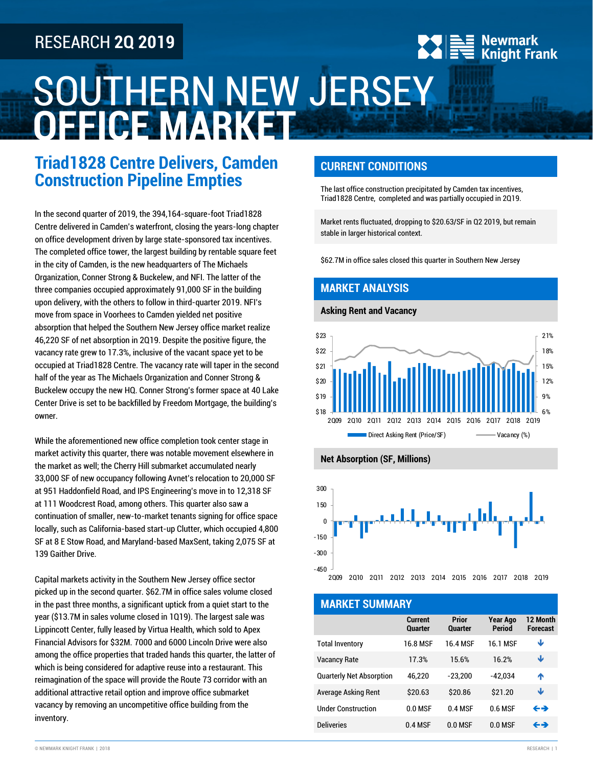# RESEARCH **2Q 2019**

# SOUTHERN NEW JERSEY **OFFICE MARKET**

# **Triad1828 Centre Delivers, Camden Construction Pipeline Empties**

In the second quarter of 2019, the 394,164-square-foot Triad1828 Centre delivered in Camden's waterfront, closing the years-long chapter on office development driven by large state-sponsored tax incentives. The completed office tower, the largest building by rentable square feet in the city of Camden, is the new headquarters of The Michaels Organization, Conner Strong & Buckelew, and NFI. The latter of the three companies occupied approximately 91,000 SF in the building upon delivery, with the others to follow in third-quarter 2019. NFI's move from space in Voorhees to Camden yielded net positive absorption that helped the Southern New Jersey office market realize 46,220 SF of net absorption in 2Q19. Despite the positive figure, the vacancy rate grew to 17.3%, inclusive of the vacant space yet to be occupied at Triad1828 Centre. The vacancy rate will taper in the second half of the year as The Michaels Organization and Conner Strong & Buckelew occupy the new HQ. Conner Strong's former space at 40 Lake Center Drive is set to be backfilled by Freedom Mortgage, the building's owner.

While the aforementioned new office completion took center stage in market activity this quarter, there was notable movement elsewhere in the market as well; the Cherry Hill submarket accumulated nearly 33,000 SF of new occupancy following Avnet's relocation to 20,000 SF at 951 Haddonfield Road, and IPS Engineering's move in to 12,318 SF at 111 Woodcrest Road, among others. This quarter also saw a continuation of smaller, new-to-market tenants signing for office space locally, such as California-based start-up Clutter, which occupied 4,800 SF at 8 E Stow Road, and Maryland-based MaxSent, taking 2,075 SF at 139 Gaither Drive.

Capital markets activity in the Southern New Jersey office sector picked up in the second quarter. \$62.7M in office sales volume closed in the past three months, a significant uptick from a quiet start to the year (\$13.7M in sales volume closed in 1Q19). The largest sale was Lippincott Center, fully leased by Virtua Health, which sold to Apex Financial Advisors for \$32M. 7000 and 6000 Lincoln Drive were also among the office properties that traded hands this quarter, the latter of which is being considered for adaptive reuse into a restaurant. This reimagination of the space will provide the Route 73 corridor with an additional attractive retail option and improve office submarket vacancy by removing an uncompetitive office building from the inventory.

## **CURRENT CONDITIONS**

The last office construction precipitated by Camden tax incentives, Triad1828 Centre, completed and was partially occupied in 2Q19.

<mark>**≒≣ Newmark**<br>∶ਵ Knight Frank</mark>

Market rents fluctuated, dropping to \$20.63/SF in Q2 2019, but remain stable in larger historical context.

\$62.7M in office sales closed this quarter in Southern New Jersey

#### **MARKET ANALYSIS**

#### **Asking Rent and Vacancy**







#### **MARKET SUMMARY**

|                                 | Current<br><b>Quarter</b> | <b>Prior</b><br><b>Quarter</b> | <b>Year Ago</b><br><b>Period</b> | 12 Month<br><b>Forecast</b> |
|---------------------------------|---------------------------|--------------------------------|----------------------------------|-----------------------------|
| <b>Total Inventory</b>          | 16 8 MSF                  | 16 4 MSF                       | 16 1 MSF                         | Ψ                           |
| <b>Vacancy Rate</b>             | 173%                      | 15.6%                          | 16.2%                            | Ψ                           |
| <b>Quarterly Net Absorption</b> | 46.220                    | $-23,200$                      | $-42.034$                        | ́↑                          |
| Average Asking Rent             | \$20.63                   | \$20.86                        | \$21.20                          | Ψ                           |
| <b>Under Construction</b>       | 00MSF                     | 0.4 MSF                        | 0.6 MSF                          | ←→                          |
| <b>Deliveries</b>               | 0.4 MSF                   | $0.0$ MSF                      | $0.0$ MSF                        | ←→                          |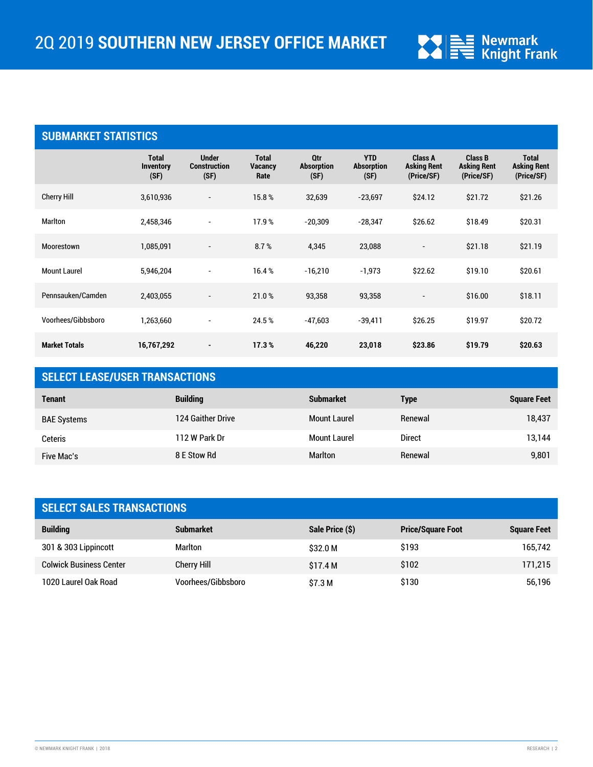

## **SUBMARKET STATISTICS**

|                      | <b>Total</b><br><b>Inventory</b><br>(SF) | <b>Under</b><br><b>Construction</b><br>(SF) | <b>Total</b><br><b>Vacancy</b><br>Rate | Qtr<br><b>Absorption</b><br>(SF) | <b>YTD</b><br><b>Absorption</b><br>(SF) | Class A<br><b>Asking Rent</b><br>(Price/SF) | <b>Class B</b><br><b>Asking Rent</b><br>(Price/SF) | <b>Total</b><br><b>Asking Rent</b><br>(Price/SF) |
|----------------------|------------------------------------------|---------------------------------------------|----------------------------------------|----------------------------------|-----------------------------------------|---------------------------------------------|----------------------------------------------------|--------------------------------------------------|
| Cherry Hill          | 3,610,936                                | $\overline{\phantom{a}}$                    | 15.8%                                  | 32,639                           | $-23,697$                               | \$24.12                                     | \$21.72                                            | \$21.26                                          |
| <b>Marlton</b>       | 2,458,346                                | $\overline{\phantom{a}}$                    | 17.9%                                  | $-20,309$                        | $-28,347$                               | \$26.62                                     | \$18.49                                            | \$20.31                                          |
| Moorestown           | 1,085,091                                | $\overline{\phantom{a}}$                    | 8.7%                                   | 4,345                            | 23,088                                  | $\overline{\phantom{a}}$                    | \$21.18                                            | \$21.19                                          |
| <b>Mount Laurel</b>  | 5,946,204                                | $\overline{\phantom{a}}$                    | 16.4%                                  | $-16,210$                        | $-1,973$                                | \$22.62                                     | \$19.10                                            | \$20.61                                          |
| Pennsauken/Camden    | 2,403,055                                | $\overline{\phantom{a}}$                    | 21.0%                                  | 93,358                           | 93,358                                  | $\overline{\phantom{a}}$                    | \$16.00                                            | \$18.11                                          |
| Voorhees/Gibbsboro   | 1,263,660                                | $\overline{\phantom{a}}$                    | 24.5%                                  | $-47,603$                        | $-39,411$                               | \$26.25                                     | \$19.97                                            | \$20.72                                          |
| <b>Market Totals</b> | 16,767,292                               | ۰                                           | 17.3%                                  | 46,220                           | 23,018                                  | \$23.86                                     | \$19.79                                            | \$20.63                                          |

## **SELECT LEASE/USER TRANSACTIONS**

| <b>Tenant</b>      | <b>Building</b>   | <b>Submarket</b>    | <b>Type</b>   | <b>Square Feet</b> |
|--------------------|-------------------|---------------------|---------------|--------------------|
| <b>BAE Systems</b> | 124 Gaither Drive | <b>Mount Laurel</b> | Renewal       | 18,437             |
| Ceteris            | 112 W Park Dr     | <b>Mount Laurel</b> | <b>Direct</b> | 13,144             |
| <b>Five Mac's</b>  | 8 E Stow Rd       | <b>Marlton</b>      | Renewal       | 9,801              |

| <b>SELECT SALES TRANSACTIONS</b> |                    |                 |                          |                    |  |
|----------------------------------|--------------------|-----------------|--------------------------|--------------------|--|
| <b>Building</b>                  | <b>Submarket</b>   | Sale Price (\$) | <b>Price/Square Foot</b> | <b>Square Feet</b> |  |
| 301 & 303 Lippincott             | Marlton            | \$32.0 M        | \$193                    | 165,742            |  |
| <b>Colwick Business Center</b>   | Cherry Hill        | \$17.4 M        | \$102                    | 171,215            |  |
| 1020 Laurel Oak Road             | Voorhees/Gibbsboro | \$7.3 M         | \$130                    | 56,196             |  |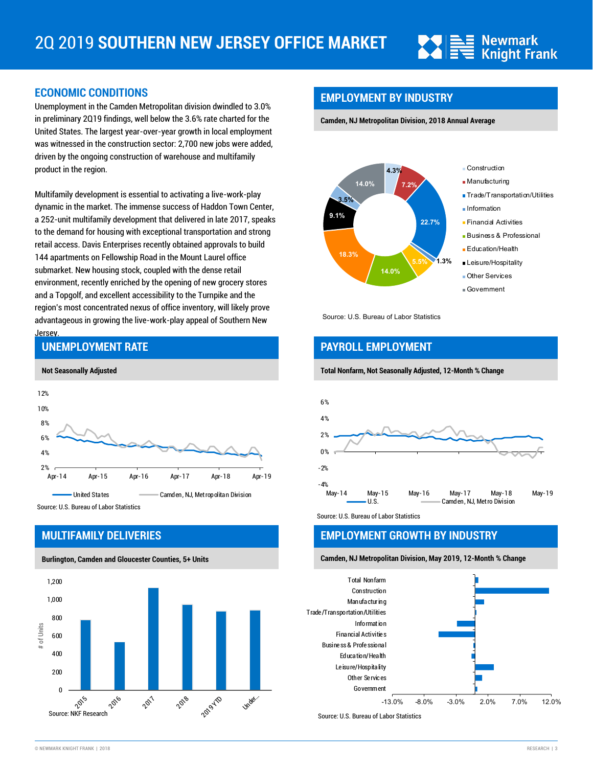

#### **ECONOMIC CONDITIONS**

Unemployment in the Camden Metropolitan division dwindled to 3.0% in preliminary 2Q19 findings, well below the 3.6% rate charted for the United States. The largest year-over-year growth in local employment was witnessed in the construction sector: 2,700 new jobs were added, driven by the ongoing construction of warehouse and multifamily product in the region.

Multifamily development is essential to activating a live-work-play dynamic in the market. The immense success of Haddon Town Center, a 252-unit multifamily development that delivered in late 2017, speaks to the demand for housing with exceptional transportation and strong retail access. Davis Enterprises recently obtained approvals to build 144 apartments on Fellowship Road in the Mount Laurel office submarket. New housing stock, coupled with the dense retail environment, recently enriched by the opening of new grocery stores and a Topgolf, and excellent accessibility to the Turnpike and the region's most concentrated nexus of office inventory, will likely prove advantageous in growing the live-work-play appeal of Southern New Jersey.



#### Source: U.S. Bureau of Labor Statistics

**UNEMPLOYMENT RATE**

#### **MULTIFAMILY DELIVERIES**

**Burlington, Camden and Gloucester Counties, 5+ Units** 



## **EMPLOYMENT BY INDUSTRY**

**Camden, NJ Metropolitan Division, 2018 Annual Average**



Source: U.S. Bureau of Labor Statistics

## **PAYROLL EMPLOYMENT**

#### **Total Nonfarm, Not Seasonally Adjusted, 12-Month % Change**



Source: U.S. Bureau of Labor Statistics

#### **EMPLOYMENT GROWTH BY INDUSTRY**

**Camden, NJ Metropolitan Division, May 2019, 12-Month % Change**



Source: U.S. Bureau of Labor Statistics